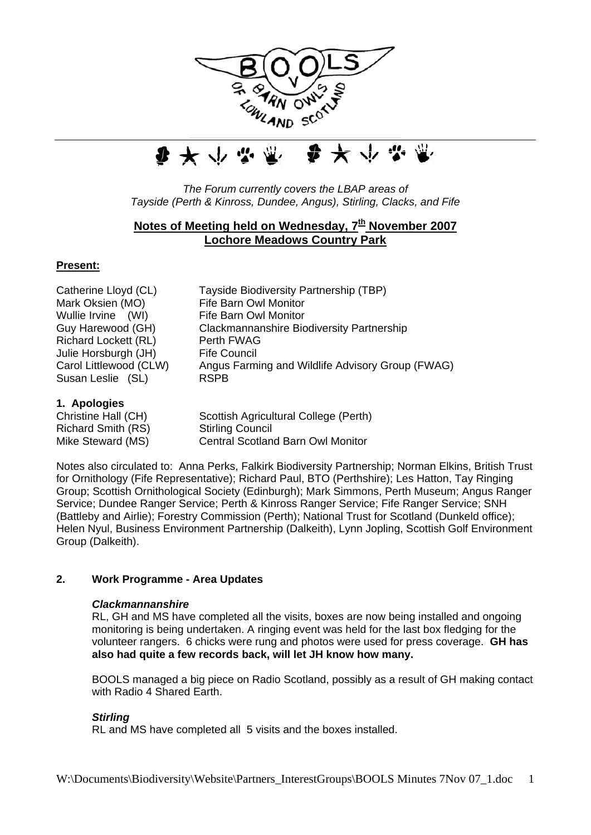



*The Forum currently covers the LBAP areas of Tayside (Perth & Kinross, Dundee, Angus), Stirling, Clacks, and Fife*

# Notes of Meeting held on Wednesday, 7<sup>th</sup> November 2007 **Lochore Meadows Country Park**

### **Present:**

Mark Oksien (MO) Fife Barn Owl Monitor Wullie Irvine (WI) Fife Barn Owl Monitor Richard Lockett (RL) Perth FWAG Julie Horsburgh (JH) Fife Council Susan Leslie (SL) RSPB

Catherine Lloyd (CL) Tayside Biodiversity Partnership (TBP) Guy Harewood (GH) Clackmannanshire Biodiversity Partnership Carol Littlewood (CLW) Angus Farming and Wildlife Advisory Group (FWAG)

### **1. Apologies**

| Christine Hall (CH) | Scottish Agricultural College (Perth)    |
|---------------------|------------------------------------------|
| Richard Smith (RS)  | <b>Stirling Council</b>                  |
| Mike Steward (MS)   | <b>Central Scotland Barn Owl Monitor</b> |

Notes also circulated to: Anna Perks, Falkirk Biodiversity Partnership; Norman Elkins, British Trust for Ornithology (Fife Representative); Richard Paul, BTO (Perthshire); Les Hatton, Tay Ringing Group; Scottish Ornithological Society (Edinburgh); Mark Simmons, Perth Museum; Angus Ranger Service; Dundee Ranger Service; Perth & Kinross Ranger Service; Fife Ranger Service; SNH (Battleby and Airlie); Forestry Commission (Perth); National Trust for Scotland (Dunkeld office); Helen Nyul, Business Environment Partnership (Dalkeith), Lynn Jopling, Scottish Golf Environment Group (Dalkeith).

## **2. Work Programme - Area Updates**

### *Clackmannanshire*

RL, GH and MS have completed all the visits, boxes are now being installed and ongoing monitoring is being undertaken. A ringing event was held for the last box fledging for the volunteer rangers. 6 chicks were rung and photos were used for press coverage. **GH has also had quite a few records back, will let JH know how many.** 

BOOLS managed a big piece on Radio Scotland, possibly as a result of GH making contact with Radio 4 Shared Earth.

#### *Stirling*

RL and MS have completed all 5 visits and the boxes installed.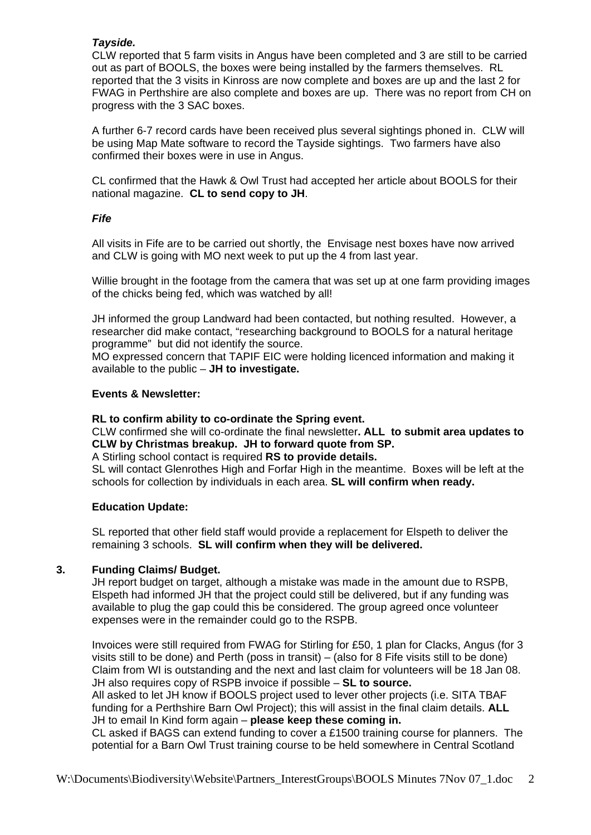### *Tayside.*

CLW reported that 5 farm visits in Angus have been completed and 3 are still to be carried out as part of BOOLS, the boxes were being installed by the farmers themselves. RL reported that the 3 visits in Kinross are now complete and boxes are up and the last 2 for FWAG in Perthshire are also complete and boxes are up. There was no report from CH on progress with the 3 SAC boxes.

A further 6-7 record cards have been received plus several sightings phoned in. CLW will be using Map Mate software to record the Tayside sightings. Two farmers have also confirmed their boxes were in use in Angus.

CL confirmed that the Hawk & Owl Trust had accepted her article about BOOLS for their national magazine. **CL to send copy to JH**.

### *Fife*

All visits in Fife are to be carried out shortly, the Envisage nest boxes have now arrived and CLW is going with MO next week to put up the 4 from last year.

Willie brought in the footage from the camera that was set up at one farm providing images of the chicks being fed, which was watched by all!

JH informed the group Landward had been contacted, but nothing resulted. However, a researcher did make contact, "researching background to BOOLS for a natural heritage programme" but did not identify the source.

MO expressed concern that TAPIF EIC were holding licenced information and making it available to the public – **JH to investigate.** 

## **Events & Newsletter:**

**RL to confirm ability to co-ordinate the Spring event.** 

CLW confirmed she will co-ordinate the final newsletter**. ALL to submit area updates to CLW by Christmas breakup. JH to forward quote from SP.** 

A Stirling school contact is required **RS to provide details.** 

SL will contact Glenrothes High and Forfar High in the meantime. Boxes will be left at the schools for collection by individuals in each area. **SL will confirm when ready.** 

## **Education Update:**

SL reported that other field staff would provide a replacement for Elspeth to deliver the remaining 3 schools. **SL will confirm when they will be delivered.** 

### **3. Funding Claims/ Budget.**

JH report budget on target, although a mistake was made in the amount due to RSPB, Elspeth had informed JH that the project could still be delivered, but if any funding was available to plug the gap could this be considered. The group agreed once volunteer expenses were in the remainder could go to the RSPB.

Invoices were still required from FWAG for Stirling for £50, 1 plan for Clacks, Angus (for 3 visits still to be done) and Perth (poss in transit) – (also for 8 Fife visits still to be done) Claim from WI is outstanding and the next and last claim for volunteers will be 18 Jan 08. JH also requires copy of RSPB invoice if possible – **SL to source.** 

All asked to let JH know if BOOLS project used to lever other projects (i.e. SITA TBAF funding for a Perthshire Barn Owl Project); this will assist in the final claim details. **ALL**  JH to email In Kind form again – **please keep these coming in.** 

CL asked if BAGS can extend funding to cover a £1500 training course for planners. The potential for a Barn Owl Trust training course to be held somewhere in Central Scotland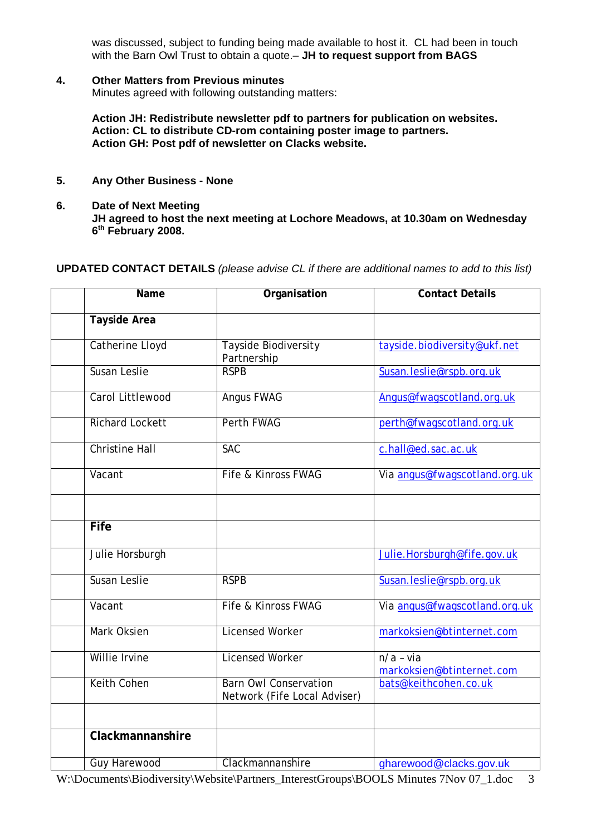was discussed, subject to funding being made available to host it. CL had been in touch with the Barn Owl Trust to obtain a quote.– **JH to request support from BAGS** 

#### **4. Other Matters from Previous minutes**

Minutes agreed with following outstanding matters:

**Action JH: Redistribute newsletter pdf to partners for publication on websites. Action: CL to distribute CD-rom containing poster image to partners. Action GH: Post pdf of newsletter on Clacks website.** 

- **5. Any Other Business None**
- **6. Date of Next Meeting JH agreed to host the next meeting at Lochore Meadows, at 10.30am on Wednesday 6th February 2008.**

**UPDATED CONTACT DETAILS** *(please advise CL if there are additional names to add to this list)*

| Name                   | Organisation                                                 | <b>Contact Details</b>                   |
|------------------------|--------------------------------------------------------------|------------------------------------------|
| <b>Tayside Area</b>    |                                                              |                                          |
| <b>Catherine Lloyd</b> | Tayside Biodiversity<br>Partnership                          | tayside.biodiversity@ukf.net             |
| Susan Leslie           | <b>RSPB</b>                                                  | Susan.leslie@rspb.org.uk                 |
| Carol Littlewood       | Angus FWAG                                                   | Angus@fwagscotland.org.uk                |
| <b>Richard Lockett</b> | Perth FWAG                                                   | perth@fwagscotland.org.uk                |
| <b>Christine Hall</b>  | <b>SAC</b>                                                   | c.hall@ed.sac.ac.uk                      |
| Vacant                 | Fife & Kinross FWAG                                          | Via angus@fwagscotland.org.uk            |
|                        |                                                              |                                          |
| Fife                   |                                                              |                                          |
| Julie Horsburgh        |                                                              | Julie.Horsburgh@fife.gov.uk              |
| Susan Leslie           | <b>RSPB</b>                                                  | Susan.leslie@rspb.org.uk                 |
| Vacant                 | Fife & Kinross FWAG                                          | Via angus@fwagscotland.org.uk            |
| Mark Oksien            | <b>Licensed Worker</b>                                       | markoksien@btinternet.com                |
| Willie Irvine          | <b>Licensed Worker</b>                                       | $n/a - via$<br>markoksien@btinternet.com |
| <b>Keith Cohen</b>     | <b>Barn Owl Conservation</b><br>Network (Fife Local Adviser) | bats@keithcohen.co.uk                    |
|                        |                                                              |                                          |
| Clackmannanshire       |                                                              |                                          |
| <b>Guy Harewood</b>    | Clackmannanshire                                             | gharewood@clacks.gov.uk                  |

W:\Documents\Biodiversity\Website\Partners\_InterestGroups\BOOLS Minutes 7Nov 07\_1.doc 3